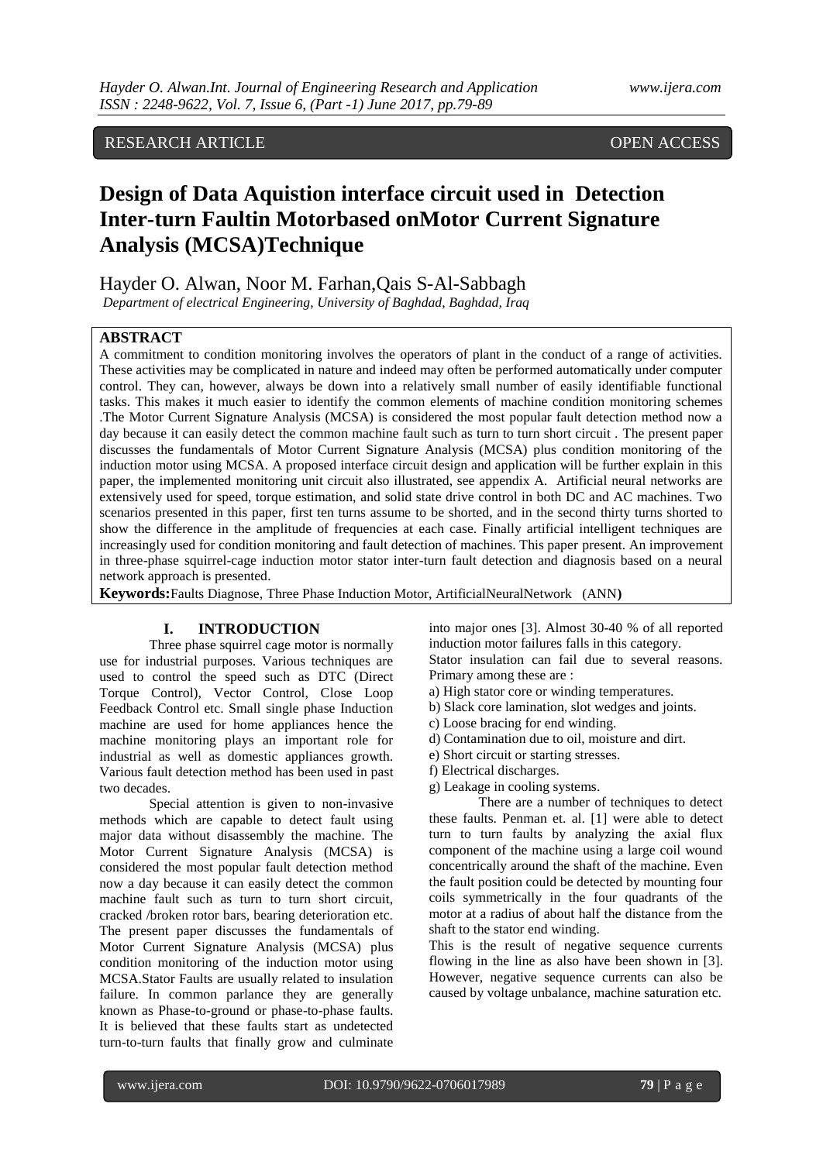# RESEARCH ARTICLE OPEN ACCESS

# **Design of Data Aquistion interface circuit used in Detection Inter-turn Faultin Motorbased onMotor Current Signature Analysis (MCSA)Technique**

Hayder O. Alwan, Noor M. Farhan,Qais S-Al-Sabbagh

*Department of electrical Engineering, University of Baghdad, Baghdad, Iraq*

# **ABSTRACT**

A commitment to condition monitoring involves the operators of plant in the conduct of a range of activities. These activities may be complicated in nature and indeed may often be performed automatically under computer control. They can, however, always be down into a relatively small number of easily identifiable functional tasks. This makes it much easier to identify the common elements of machine condition monitoring schemes .The Motor Current Signature Analysis (MCSA) is considered the most popular fault detection method now a day because it can easily detect the common machine fault such as turn to turn short circuit . The present paper discusses the fundamentals of Motor Current Signature Analysis (MCSA) plus condition monitoring of the induction motor using MCSA. A proposed interface circuit design and application will be further explain in this paper, the implemented monitoring unit circuit also illustrated, see appendix A. Artificial neural networks are extensively used for speed, torque estimation, and solid state drive control in both DC and AC machines. Two scenarios presented in this paper, first ten turns assume to be shorted, and in the second thirty turns shorted to show the difference in the amplitude of frequencies at each case. Finally artificial intelligent techniques are increasingly used for condition monitoring and fault detection of machines. This paper present. An improvement in three-phase squirrel-cage induction motor stator inter-turn fault detection and diagnosis based on a neural network approach is presented.

**Keywords:**Faults Diagnose, Three Phase Induction Motor, ArtificialNeuralNetwork (ANN**)**

#### **I. INTRODUCTION**

Three phase squirrel cage motor is normally use for industrial purposes. Various techniques are used to control the speed such as DTC (Direct Torque Control), Vector Control, Close Loop Feedback Control etc. Small single phase Induction machine are used for home appliances hence the machine monitoring plays an important role for industrial as well as domestic appliances growth. Various fault detection method has been used in past two decades.

Special attention is given to non-invasive methods which are capable to detect fault using major data without disassembly the machine. The Motor Current Signature Analysis (MCSA) is considered the most popular fault detection method now a day because it can easily detect the common machine fault such as turn to turn short circuit, cracked /broken rotor bars, bearing deterioration etc. The present paper discusses the fundamentals of Motor Current Signature Analysis (MCSA) plus condition monitoring of the induction motor using MCSA.Stator Faults are usually related to insulation failure. In common parlance they are generally known as Phase-to-ground or phase-to-phase faults. It is believed that these faults start as undetected turn-to-turn faults that finally grow and culminate

into major ones [3]. Almost 30-40 % of all reported induction motor failures falls in this category.

Stator insulation can fail due to several reasons. Primary among these are :

- a) High stator core or winding temperatures.
- b) Slack core lamination, slot wedges and joints.
- c) Loose bracing for end winding.
- d) Contamination due to oil, moisture and dirt.
- e) Short circuit or starting stresses.
- f) Electrical discharges.
- g) Leakage in cooling systems.

There are a number of techniques to detect these faults. Penman et. al. [1] were able to detect turn to turn faults by analyzing the axial flux component of the machine using a large coil wound concentrically around the shaft of the machine. Even the fault position could be detected by mounting four coils symmetrically in the four quadrants of the motor at a radius of about half the distance from the shaft to the stator end winding.

This is the result of negative sequence currents flowing in the line as also have been shown in [3]. However, negative sequence currents can also be caused by voltage unbalance, machine saturation etc.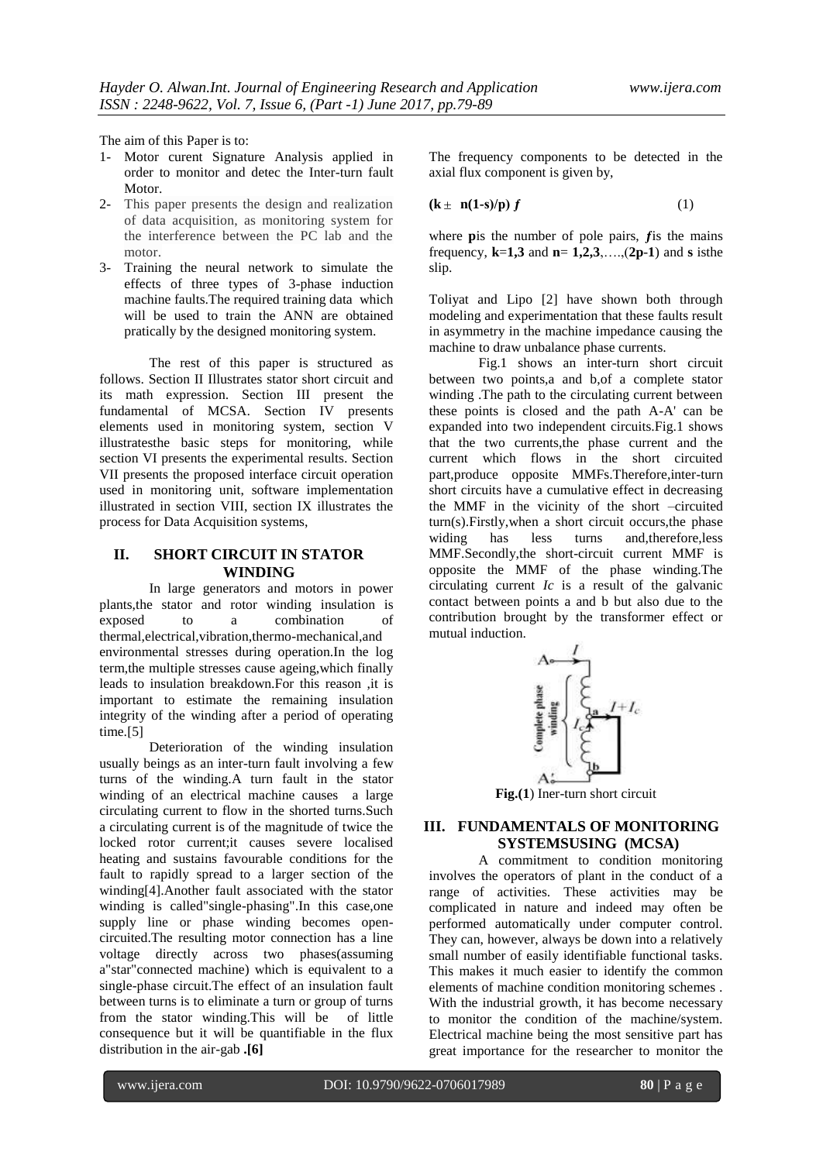The aim of this Paper is to:

- 1- Motor curent Signature Analysis applied in order to monitor and detec the Inter-turn fault Motor.
- 2- This paper presents the design and realization of data acquisition, as monitoring system for the interference between the PC lab and the motor.
- 3- Training the neural network to simulate the effects of three types of 3-phase induction machine faults.The required training data which will be used to train the ANN are obtained pratically by the designed monitoring system.

The rest of this paper is structured as follows. Section II Illustrates stator short circuit and its math expression. Section III present the fundamental of MCSA. Section IV presents elements used in monitoring system, section V illustratesthe basic steps for monitoring, while section VI presents the experimental results. Section VII presents the proposed interface circuit operation used in monitoring unit, software implementation illustrated in section VIII, section IX illustrates the process for Data Acquisition systems,

# **II. SHORT CIRCUIT IN STATOR WINDING**

In large generators and motors in power plants,the stator and rotor winding insulation is exposed to a combination of thermal,electrical,vibration,thermo-mechanical,and environmental stresses during operation.In the log term,the multiple stresses cause ageing,which finally leads to insulation breakdown.For this reason ,it is important to estimate the remaining insulation integrity of the winding after a period of operating time.<sup>[5]</sup>

Deterioration of the winding insulation usually beings as an inter-turn fault involving a few turns of the winding.A turn fault in the stator winding of an electrical machine causes a large circulating current to flow in the shorted turns.Such a circulating current is of the magnitude of twice the locked rotor current;it causes severe localised heating and sustains favourable conditions for the fault to rapidly spread to a larger section of the winding[4].Another fault associated with the stator winding is called"single-phasing".In this case,one supply line or phase winding becomes opencircuited.The resulting motor connection has a line voltage directly across two phases(assuming a"star"connected machine) which is equivalent to a single-phase circuit.The effect of an insulation fault between turns is to eliminate a turn or group of turns from the stator winding.This will be of little consequence but it will be quantifiable in the flux distribution in the air-gab **.[6]**

The frequency components to be detected in the axial flux component is given by,

$$
(\mathbf{k} \pm \mathbf{n}(\mathbf{1}\text{-}\mathbf{s})/\mathbf{p})\,f\tag{1}
$$

where **p**is the number of pole pairs, *f* is the mains frequency, **k**=**1,3** and **n**= **1,2,3**,….,(**2p**-**1**) and **s** isthe slip.

Toliyat and Lipo [2] have shown both through modeling and experimentation that these faults result in asymmetry in the machine impedance causing the machine to draw unbalance phase currents.

Fig.1 shows an inter-turn short circuit between two points,a and b,of a complete stator winding .The path to the circulating current between these points is closed and the path A-A' can be expanded into two independent circuits.Fig.1 shows that the two currents,the phase current and the current which flows in the short circuited part,produce opposite MMFs.Therefore,inter-turn short circuits have a cumulative effect in decreasing the MMF in the vicinity of the short –circuited turn(s).Firstly,when a short circuit occurs,the phase widing has less turns and,therefore,less MMF.Secondly,the short-circuit current MMF is opposite the MMF of the phase winding.The circulating current *Ic* is a result of the galvanic contact between points a and b but also due to the contribution brought by the transformer effect or mutual induction.



**Fig.(1**) Iner-turn short circuit

# **III. FUNDAMENTALS OF MONITORING SYSTEMSUSING (MCSA)**

A commitment to condition monitoring involves the operators of plant in the conduct of a range of activities. These activities may be complicated in nature and indeed may often be performed automatically under computer control. They can, however, always be down into a relatively small number of easily identifiable functional tasks. This makes it much easier to identify the common elements of machine condition monitoring schemes . With the industrial growth, it has become necessary to monitor the condition of the machine/system. Electrical machine being the most sensitive part has great importance for the researcher to monitor the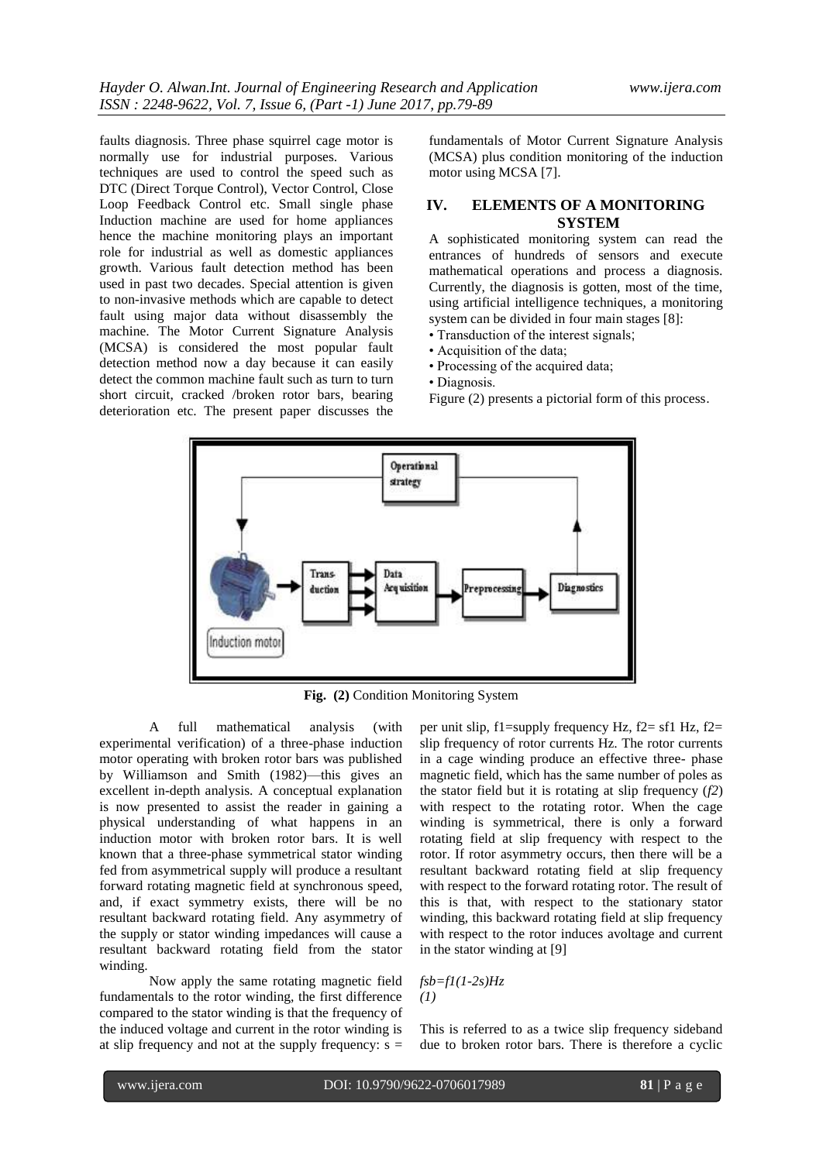faults diagnosis. Three phase squirrel cage motor is normally use for industrial purposes. Various techniques are used to control the speed such as DTC (Direct Torque Control), Vector Control, Close Loop Feedback Control etc. Small single phase Induction machine are used for home appliances hence the machine monitoring plays an important role for industrial as well as domestic appliances growth. Various fault detection method has been used in past two decades. Special attention is given to non-invasive methods which are capable to detect fault using major data without disassembly the machine. The Motor Current Signature Analysis (MCSA) is considered the most popular fault detection method now a day because it can easily detect the common machine fault such as turn to turn short circuit, cracked /broken rotor bars, bearing deterioration etc. The present paper discusses the

fundamentals of Motor Current Signature Analysis (MCSA) plus condition monitoring of the induction motor using MCSA [7].

# **IV. ELEMENTS OF A MONITORING SYSTEM**

A sophisticated monitoring system can read the entrances of hundreds of sensors and execute mathematical operations and process a diagnosis. Currently, the diagnosis is gotten, most of the time, using artificial intelligence techniques, a monitoring system can be divided in four main stages [8]:

- Transduction of the interest signals;
- Acquisition of the data;
- Processing of the acquired data;
- Diagnosis.

Figure (2) presents a pictorial form of this process.



**Fig. (2)** Condition Monitoring System

A full mathematical analysis (with experimental verification) of a three-phase induction motor operating with broken rotor bars was published by Williamson and Smith (1982)—this gives an excellent in-depth analysis. A conceptual explanation is now presented to assist the reader in gaining a physical understanding of what happens in an induction motor with broken rotor bars. It is well known that a three-phase symmetrical stator winding fed from asymmetrical supply will produce a resultant forward rotating magnetic field at synchronous speed, and, if exact symmetry exists, there will be no resultant backward rotating field. Any asymmetry of the supply or stator winding impedances will cause a resultant backward rotating field from the stator winding.

Now apply the same rotating magnetic field fundamentals to the rotor winding, the first difference compared to the stator winding is that the frequency of the induced voltage and current in the rotor winding is at slip frequency and not at the supply frequency:  $s =$ 

per unit slip,  $f1$ =supply frequency Hz,  $f2 = f1$  Hz,  $f2 =$ slip frequency of rotor currents Hz. The rotor currents in a cage winding produce an effective three- phase magnetic field, which has the same number of poles as the stator field but it is rotating at slip frequency (*f2*) with respect to the rotating rotor. When the cage winding is symmetrical, there is only a forward rotating field at slip frequency with respect to the rotor. If rotor asymmetry occurs, then there will be a resultant backward rotating field at slip frequency with respect to the forward rotating rotor. The result of this is that, with respect to the stationary stator winding, this backward rotating field at slip frequency with respect to the rotor induces avoltage and current in the stator winding at [9]

$$
fsb = fl(1-2s)Hz
$$
  
(1)

This is referred to as a twice slip frequency sideband due to broken rotor bars. There is therefore a cyclic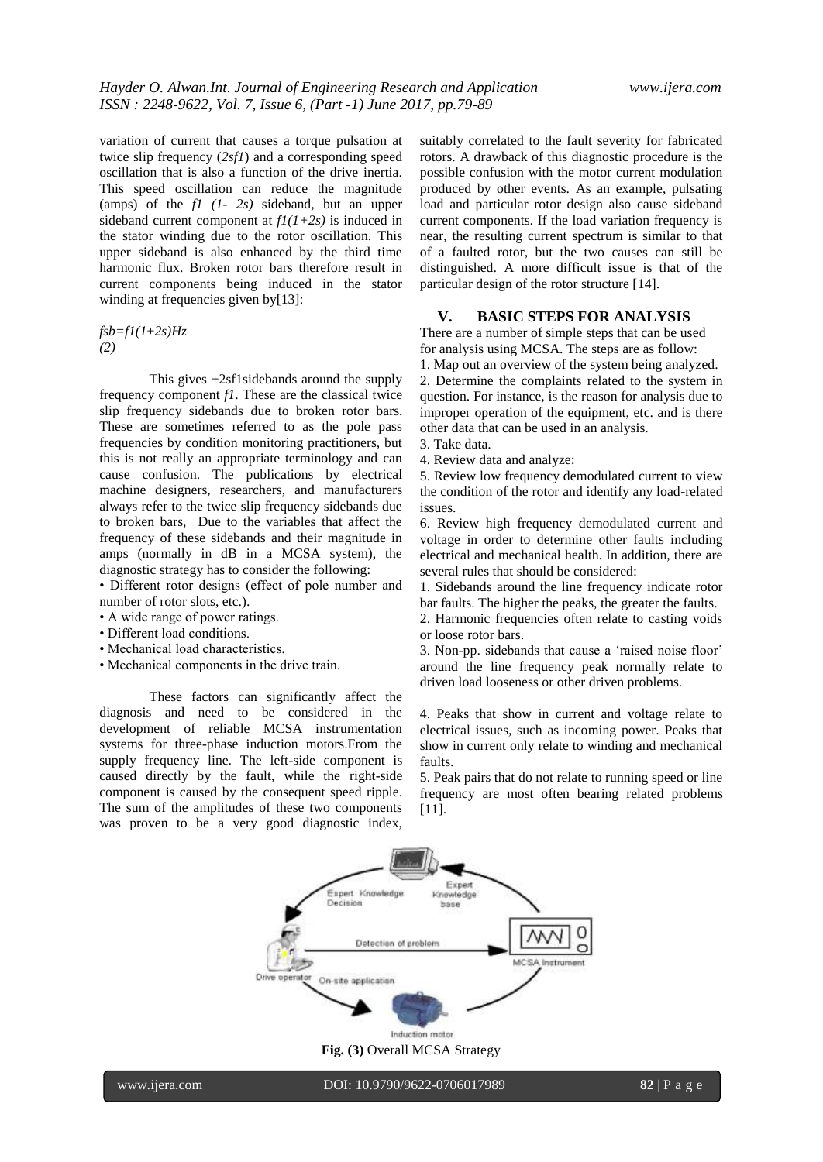variation of current that causes a torque pulsation at twice slip frequency (*2sf1*) and a corresponding speed oscillation that is also a function of the drive inertia. This speed oscillation can reduce the magnitude (amps) of the *f1 (1- 2s)* sideband, but an upper sideband current component at *f1(1+2s)* is induced in the stator winding due to the rotor oscillation. This upper sideband is also enhanced by the third time harmonic flux. Broken rotor bars therefore result in current components being induced in the stator winding at frequencies given by[13]:

*fsb=f1(1±2s)Hz (2)*

This gives  $\pm 2$ sf1sidebands around the supply frequency component *f1*. These are the classical twice slip frequency sidebands due to broken rotor bars. These are sometimes referred to as the pole pass frequencies by condition monitoring practitioners, but this is not really an appropriate terminology and can cause confusion. The publications by electrical machine designers, researchers, and manufacturers always refer to the twice slip frequency sidebands due to broken bars, Due to the variables that affect the frequency of these sidebands and their magnitude in amps (normally in dB in a MCSA system), the diagnostic strategy has to consider the following:

• Different rotor designs (effect of pole number and number of rotor slots, etc.).

- A wide range of power ratings.
- Different load conditions.
- Mechanical load characteristics.
- Mechanical components in the drive train.

These factors can significantly affect the diagnosis and need to be considered in the development of reliable MCSA instrumentation systems for three-phase induction motors.From the supply frequency line. The left-side component is caused directly by the fault, while the right-side component is caused by the consequent speed ripple. The sum of the amplitudes of these two components was proven to be a very good diagnostic index,

suitably correlated to the fault severity for fabricated rotors. A drawback of this diagnostic procedure is the possible confusion with the motor current modulation produced by other events. As an example, pulsating load and particular rotor design also cause sideband current components. If the load variation frequency is near, the resulting current spectrum is similar to that of a faulted rotor, but the two causes can still be distinguished. A more difficult issue is that of the particular design of the rotor structure [14].

#### **V. BASIC STEPS FOR ANALYSIS**

There are a number of simple steps that can be used for analysis using MCSA. The steps are as follow:

1. Map out an overview of the system being analyzed. 2. Determine the complaints related to the system in question. For instance, is the reason for analysis due to improper operation of the equipment, etc. and is there

other data that can be used in an analysis.

3. Take data.

4. Review data and analyze:

5. Review low frequency demodulated current to view the condition of the rotor and identify any load-related issues.

6. Review high frequency demodulated current and voltage in order to determine other faults including electrical and mechanical health. In addition, there are several rules that should be considered:

1. Sidebands around the line frequency indicate rotor bar faults. The higher the peaks, the greater the faults.

2. Harmonic frequencies often relate to casting voids or loose rotor bars.

3. Non-pp. sidebands that cause a 'raised noise floor' around the line frequency peak normally relate to driven load looseness or other driven problems.

4. Peaks that show in current and voltage relate to electrical issues, such as incoming power. Peaks that show in current only relate to winding and mechanical faults.

5. Peak pairs that do not relate to running speed or line frequency are most often bearing related problems [11].

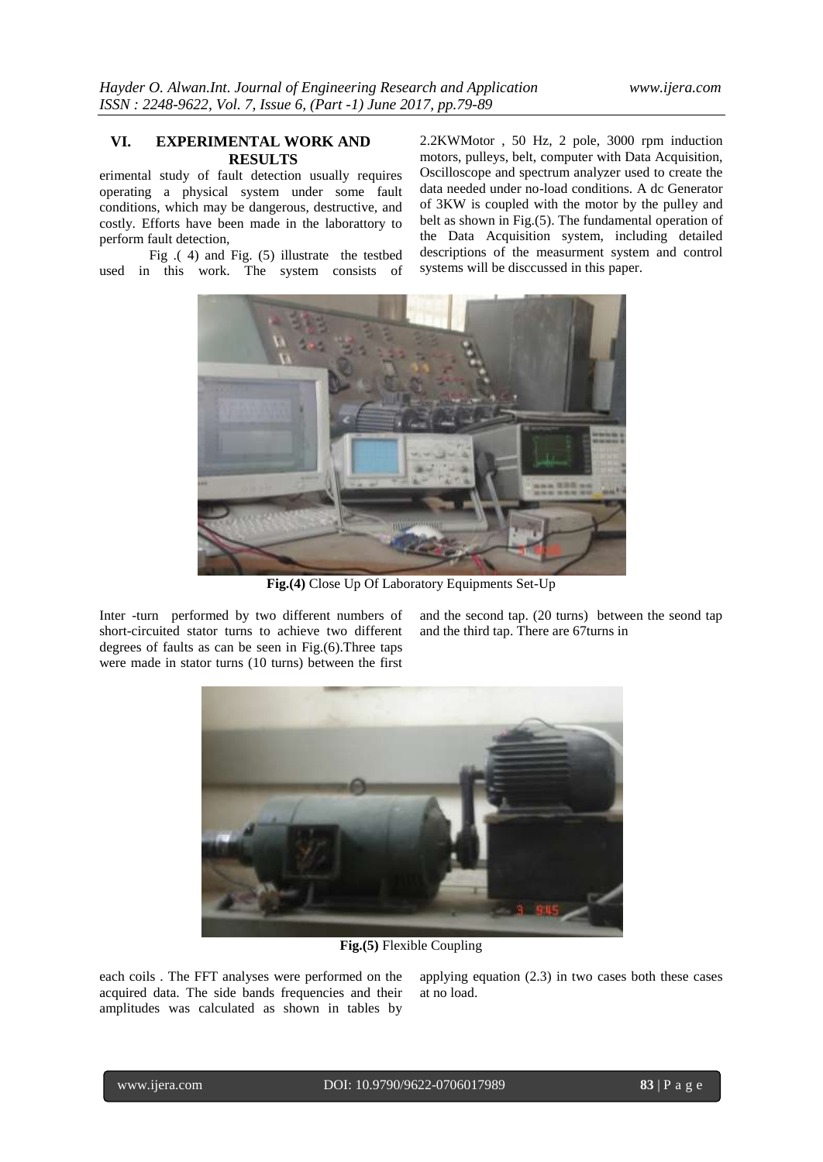# **VI. EXPERIMENTAL WORK AND RESULTS**

erimental study of fault detection usually requires operating a physical system under some fault conditions, which may be dangerous, destructive, and costly. Efforts have been made in the laborattory to perform fault detection,

Fig .( 4) and Fig. (5) illustrate the testbed used in this work. The system consists of 2.2KWMotor , 50 Hz, 2 pole, 3000 rpm induction motors, pulleys, belt, computer with Data Acquisition, Oscilloscope and spectrum analyzer used to create the data needed under no-load conditions. A dc Generator of 3KW is coupled with the motor by the pulley and belt as shown in Fig.(5). The fundamental operation of the Data Acquisition system, including detailed descriptions of the measurment system and control systems will be disccussed in this paper.



**Fig.(4)** Close Up Of Laboratory Equipments Set-Up

Inter -turn performed by two different numbers of short-circuited stator turns to achieve two different degrees of faults as can be seen in Fig.(6).Three taps were made in stator turns (10 turns) between the first

and the second tap. (20 turns) between the seond tap and the third tap. There are 67turns in



**Fig.(5)** Flexible Coupling

each coils . The FFT analyses were performed on the acquired data. The side bands frequencies and their amplitudes was calculated as shown in tables by

applying equation (2.3) in two cases both these cases at no load.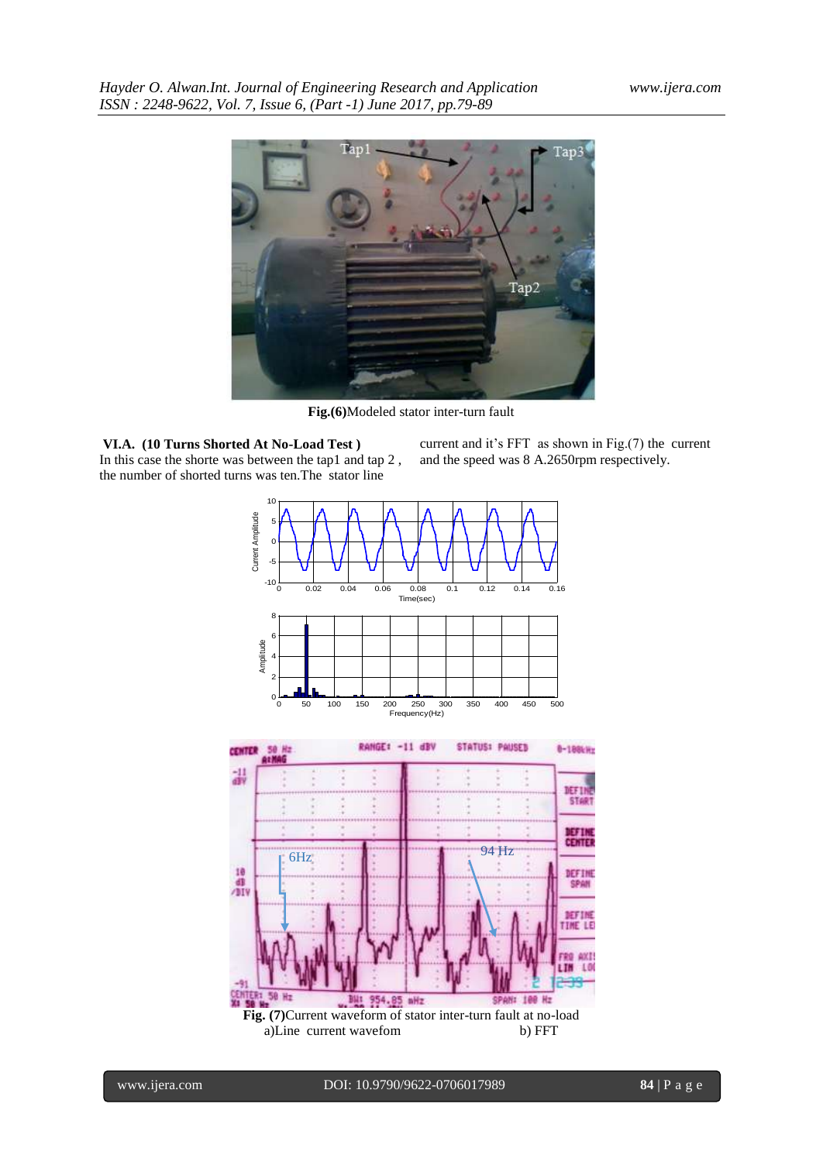

**Fig.(6)**Modeled stator inter-turn fault

**VI.A. (10 Turns Shorted At No-Load Test )** In this case the shorte was between the tap1 and tap 2 , the number of shorted turns was ten.The stator line

current and it's FFT as shown in Fig.(7) the current and the speed was 8 A.2650rpm respectively.

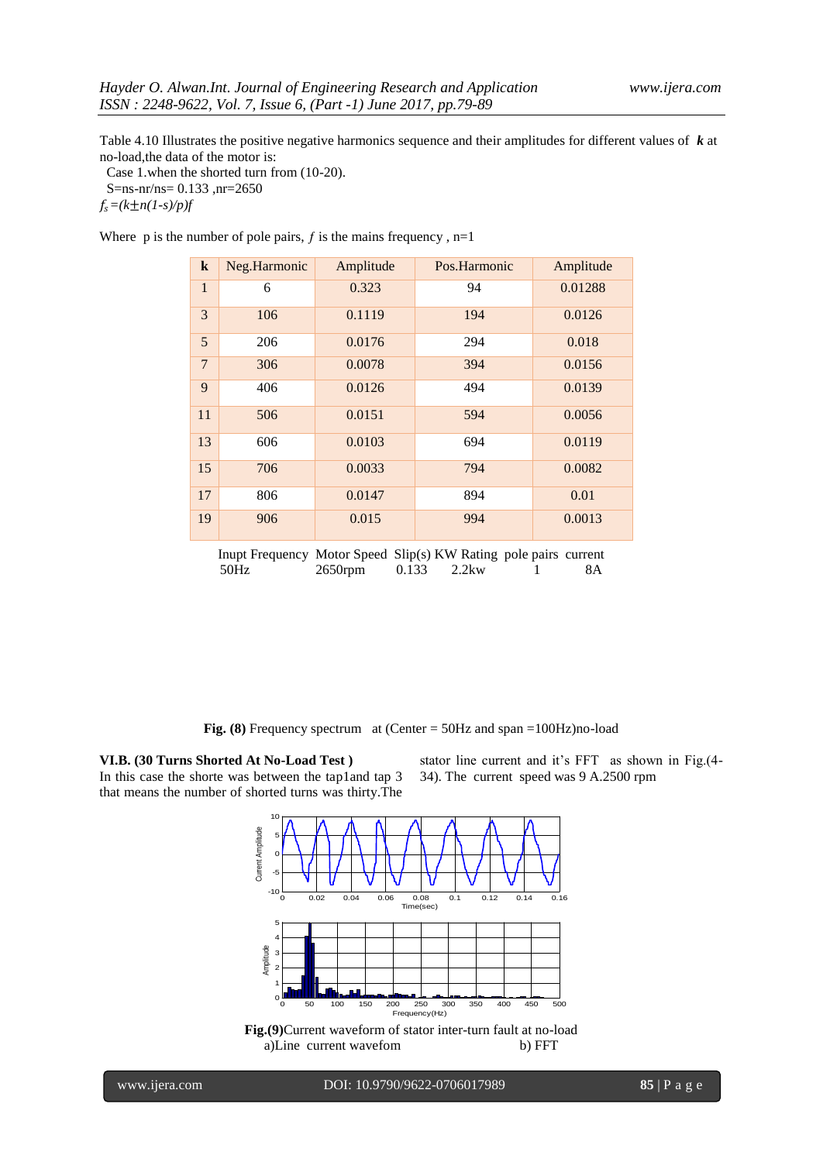Table 4.10 Illustrates the positive negative harmonics sequence and their amplitudes for different values of *k* at no-load,the data of the motor is:

 Case 1.when the shorted turn from (10-20). S=ns-nr/ns= 0.133 ,nr=2650

 $f_s = (k \pm n(1-s)/p)f$ 

Where p is the number of pole pairs,  $f$  is the mains frequency,  $n=1$ 

| $\bf k$                                                             | Neg.Harmonic | Amplitude | Pos.Harmonic | Amplitude |  |
|---------------------------------------------------------------------|--------------|-----------|--------------|-----------|--|
| $\mathbf{1}$                                                        | 6            | 0.323     | 94           | 0.01288   |  |
| 3                                                                   | 106          | 0.1119    | 194          | 0.0126    |  |
| 5                                                                   | 206          | 0.0176    | 294          | 0.018     |  |
| $\overline{7}$                                                      | 306          | 0.0078    | 394          | 0.0156    |  |
| 9                                                                   | 406          | 0.0126    | 494          | 0.0139    |  |
| 11                                                                  | 506          | 0.0151    | 594          | 0.0056    |  |
| 13                                                                  | 606          | 0.0103    | 694          | 0.0119    |  |
| 15                                                                  | 706          | 0.0033    | 794          | 0.0082    |  |
| 17                                                                  | 806          | 0.0147    | 894          | 0.01      |  |
| 19                                                                  | 906          | 0.015     | 994          | 0.0013    |  |
| Inited Froguesian Motor Cased, Clin(a) VW Deting note noise support |              |           |              |           |  |

Inupt Frequency Motor Speed Slip(s) KW Rating pole pairs current 50Hz 2650rpm 0.133 2.2kw 1 8A

**Fig. (8)** Frequency spectrum at (Center = 50Hz and span =100Hz)no-load

**VI.B. (30 Turns Shorted At No-Load Test )**  In this case the shorte was between the tap1and tap 3 that means the number of shorted turns was thirty.The

stator line current and it's FFT as shown in Fig.(4- 34). The current speed was 9 A.2500 rpm



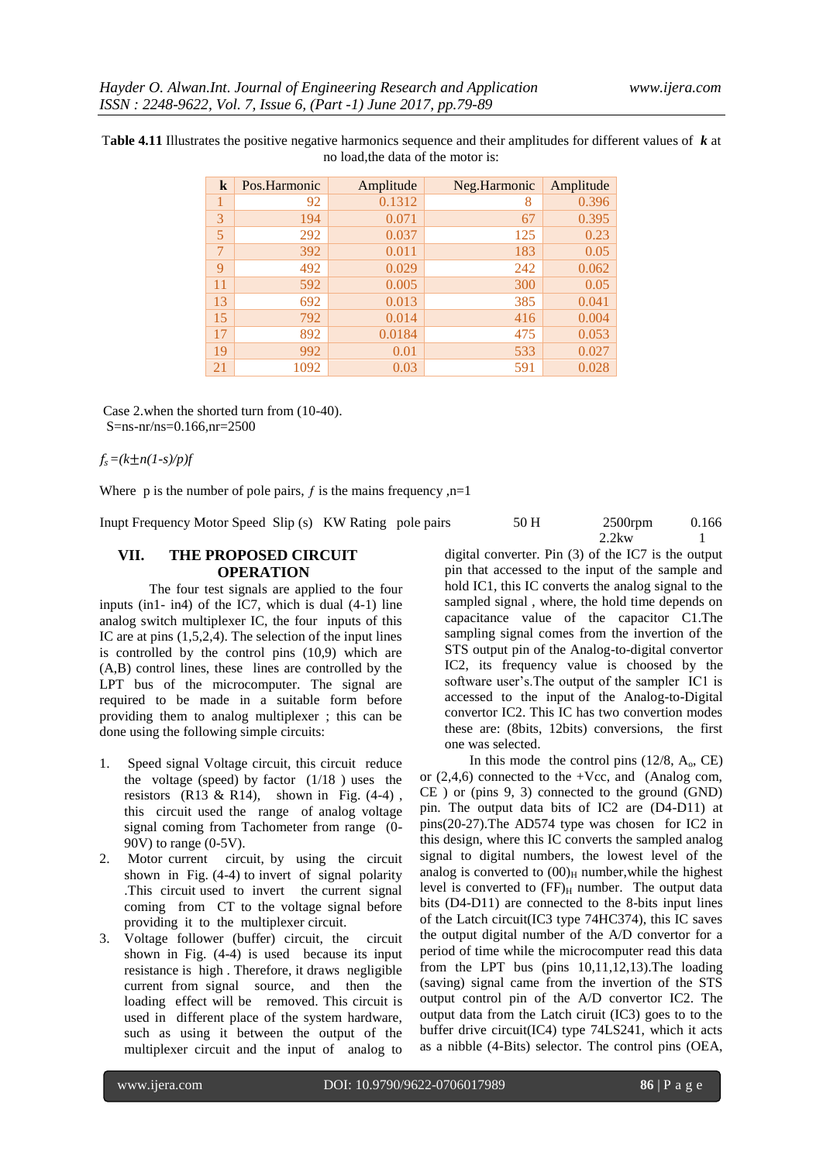| $\bf k$ | Pos.Harmonic | Amplitude | Neg.Harmonic | Amplitude |
|---------|--------------|-----------|--------------|-----------|
|         | 92           | 0.1312    | 8            | 0.396     |
| 3       | 194          | 0.071     | 67           | 0.395     |
| 5       | 292          | 0.037     | 125          | 0.23      |
| 7       | 392          | 0.011     | 183          | 0.05      |
| 9       | 492          | 0.029     | 242          | 0.062     |
| 11      | 592          | 0.005     | 300          | 0.05      |
| 13      | 692          | 0.013     | 385          | 0.041     |
| 15      | 792          | 0.014     | 416          | 0.004     |
| 17      | 892          | 0.0184    | 475          | 0.053     |
| 19      | 992          | 0.01      | 533          | 0.027     |
| 21      | 1092         | 0.03      | 591          | 0.028     |

T**able 4.11** Illustrates the positive negative harmonics sequence and their amplitudes for different values of *k* at no load,the data of the motor is:

Case 2.when the shorted turn from (10-40). S=ns-nr/ns=0.166,nr=2500

 $f_s = (k \pm n(1-s)/p)f$ 

Where p is the number of pole pairs,  $f$  is the mains frequency ,n=1

Inupt Frequency Motor Speed Slip (s) KW Rating pole pairs

### **VII. THE PROPOSED CIRCUIT OPERATION**

The four test signals are applied to the four inputs (in1- in4) of the IC7, which is dual (4-1) line analog switch multiplexer IC, the four inputs of this IC are at pins (1,5,2,4). The selection of the input lines is controlled by the control pins (10,9) which are (A,B) control lines, these lines are controlled by the LPT bus of the microcomputer. The signal are required to be made in a suitable form before providing them to analog multiplexer ; this can be done using the following simple circuits:

- 1. Speed signal Voltage circuit, this circuit reduce the voltage (speed) by factor  $(1/18)$  uses the resistors  $(R13 \& R14)$ , shown in Fig.  $(4-4)$ , this circuit used the range of analog voltage signal coming from Tachometer from range (0- 90V) to range (0-5V).
- 2. Motor current circuit, by using the circuit shown in Fig. (4-4) to invert of signal polarity .This circuit used to invert the current signal coming from CT to the voltage signal before providing it to the multiplexer circuit.
- 3. Voltage follower (buffer) circuit, the circuit shown in Fig. (4-4) is used because its input resistance is high . Therefore, it draws negligible current from signal source, and then the loading effect will be removed. This circuit is used in different place of the system hardware, such as using it between the output of the multiplexer circuit and the input of analog to

| 50 H | $2500$ rpm | 0.166 |
|------|------------|-------|
|      | $2.2$ kw   |       |

digital converter. Pin (3) of the IC7 is the output pin that accessed to the input of the sample and hold IC1, this IC converts the analog signal to the sampled signal , where, the hold time depends on capacitance value of the capacitor C1.The sampling signal comes from the invertion of the STS output pin of the Analog-to-digital convertor IC2, its frequency value is choosed by the software user's.The output of the sampler IC1 is accessed to the input of the Analog-to-Digital convertor IC2. This IC has two convertion modes these are: (8bits, 12bits) conversions, the first one was selected.

In this mode the control pins  $(12/8, A_0, CE)$ or  $(2,4,6)$  connected to the +Vcc, and (Analog com, CE ) or (pins 9, 3) connected to the ground (GND) pin. The output data bits of IC2 are (D4-D11) at pins(20-27).The AD574 type was chosen for IC2 in this design, where this IC converts the sampled analog signal to digital numbers, the lowest level of the analog is converted to  $(00)$ <sub>H</sub> number, while the highest level is converted to  $(FF)_H$  number. The output data bits (D4-D11) are connected to the 8-bits input lines of the Latch circuit(IC3 type 74HC374), this IC saves the output digital number of the A/D convertor for a period of time while the microcomputer read this data from the LPT bus (pins 10,11,12,13).The loading (saving) signal came from the invertion of the STS output control pin of the A/D convertor IC2. The output data from the Latch ciruit (IC3) goes to to the buffer drive circuit(IC4) type 74LS241, which it acts as a nibble (4-Bits) selector. The control pins (OEA,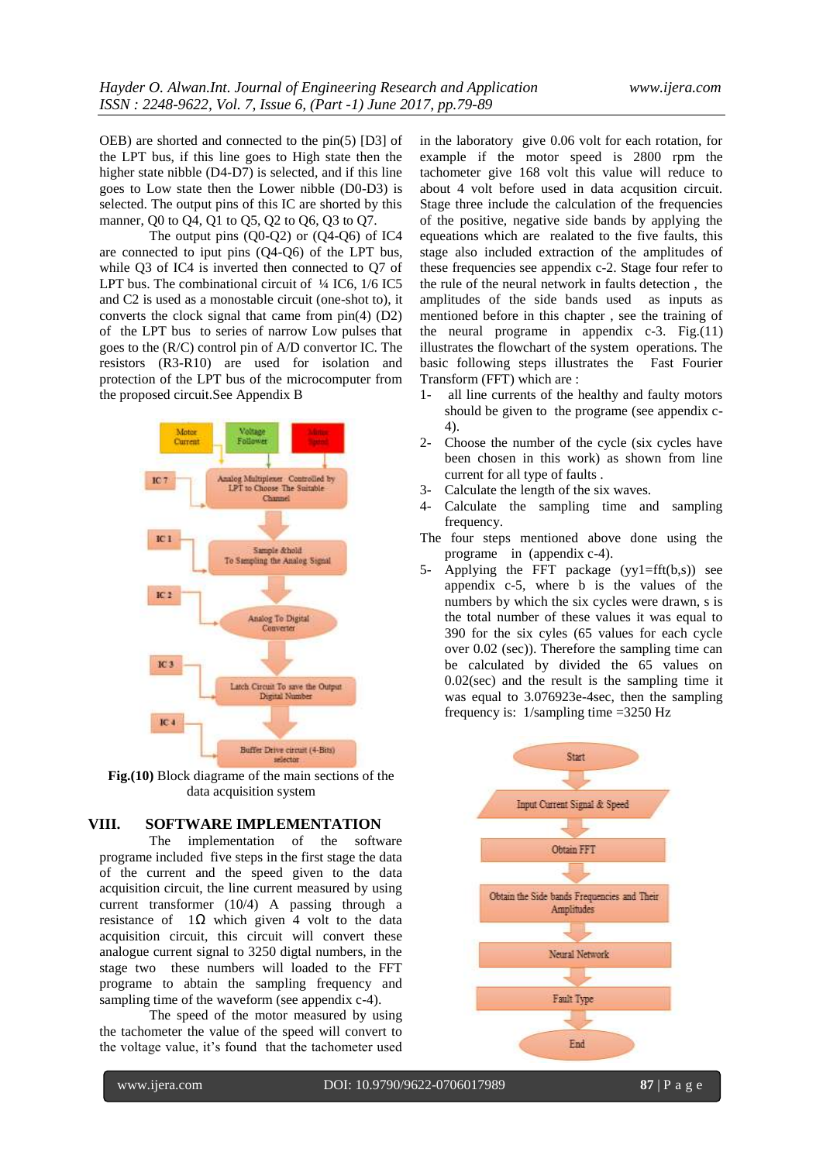OEB) are shorted and connected to the pin(5) [D3] of the LPT bus, if this line goes to High state then the higher state nibble (D4-D7) is selected, and if this line goes to Low state then the Lower nibble (D0-D3) is selected. The output pins of this IC are shorted by this manner, Q0 to Q4, Q1 to Q5, Q2 to Q6, Q3 to Q7.

The output pins  $(00-02)$  or  $(04-06)$  of IC4 are connected to iput pins (Q4-Q6) of the LPT bus, while Q3 of IC4 is inverted then connected to Q7 of LPT bus. The combinational circuit of  $\frac{1}{4}$  IC6,  $\frac{1}{6}$  IC5 and C2 is used as a monostable circuit (one-shot to), it converts the clock signal that came from pin(4) (D2) of the LPT bus to series of narrow Low pulses that goes to the (R/C) control pin of A/D convertor IC. The resistors (R3-R10) are used for isolation and protection of the LPT bus of the microcomputer from the proposed circuit.See Appendix B



**Fig.(10)** Block diagrame of the main sections of the data acquisition system

#### **VIII. SOFTWARE IMPLEMENTATION**

The implementation of the software programe included five steps in the first stage the data of the current and the speed given to the data acquisition circuit, the line current measured by using current transformer (10/4) A passing through a resistance of 1Ω which given 4 volt to the data acquisition circuit, this circuit will convert these analogue current signal to 3250 digtal numbers, in the stage two these numbers will loaded to the FFT programe to abtain the sampling frequency and sampling time of the waveform (see appendix c-4).

The speed of the motor measured by using the tachometer the value of the speed will convert to the voltage value, it's found that the tachometer used in the laboratory give 0.06 volt for each rotation, for example if the motor speed is 2800 rpm the tachometer give 168 volt this value will reduce to about 4 volt before used in data acqusition circuit. Stage three include the calculation of the frequencies of the positive, negative side bands by applying the equeations which are realated to the five faults, this stage also included extraction of the amplitudes of these frequencies see appendix c-2. Stage four refer to the rule of the neural network in faults detection , the amplitudes of the side bands used as inputs as mentioned before in this chapter , see the training of the neural programe in appendix c-3. Fig.(11) illustrates the flowchart of the system operations. The basic following steps illustrates the Fast Fourier Transform (FFT) which are :

- 1- all line currents of the healthy and faulty motors should be given to the programe (see appendix c-4).
- 2- Choose the number of the cycle (six cycles have been chosen in this work) as shown from line current for all type of faults .
- 3- Calculate the length of the six waves.
- 4- Calculate the sampling time and sampling frequency.
- The four steps mentioned above done using the programe in (appendix c-4).
- 5- Applying the FFT package  $(yy1=fft(b,s))$  see appendix c-5, where b is the values of the numbers by which the six cycles were drawn, s is the total number of these values it was equal to 390 for the six cyles (65 values for each cycle over 0.02 (sec)). Therefore the sampling time can be calculated by divided the 65 values on 0.02(sec) and the result is the sampling time it was equal to 3.076923e-4sec, then the sampling frequency is: 1/sampling time =3250 Hz

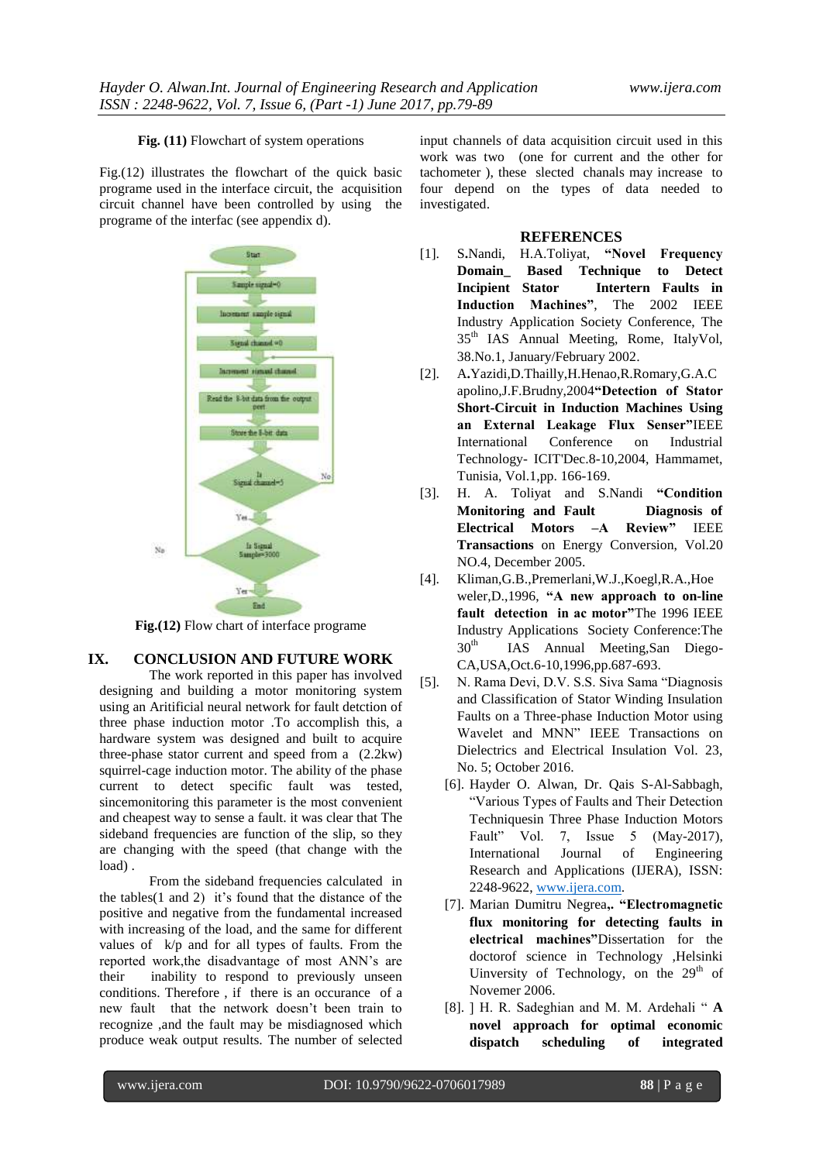#### **Fig. (11)** Flowchart of system operations

Fig.(12) illustrates the flowchart of the quick basic programe used in the interface circuit, the acquisition circuit channel have been controlled by using the programe of the interfac (see appendix d).



**Fig.(12)** Flow chart of interface programe

# **IX. CONCLUSION AND FUTURE WORK**

The work reported in this paper has involved designing and building a motor monitoring system using an Aritificial neural network for fault detction of three phase induction motor .To accomplish this, a hardware system was designed and built to acquire three-phase stator current and speed from a (2.2kw) squirrel-cage induction motor. The ability of the phase current to detect specific fault was tested, sincemonitoring this parameter is the most convenient and cheapest way to sense a fault. it was clear that The sideband frequencies are function of the slip, so they are changing with the speed (that change with the load) .

From the sideband frequencies calculated in the tables(1 and 2) it's found that the distance of the positive and negative from the fundamental increased with increasing of the load, and the same for different values of k/p and for all types of faults. From the reported work,the disadvantage of most ANN's are their inability to respond to previously unseen conditions. Therefore , if there is an occurance of a new fault that the network doesn't been train to recognize ,and the fault may be misdiagnosed which produce weak output results. The number of selected

input channels of data acquisition circuit used in this work was two (one for current and the other for tachometer ), these slected chanals may increase to four depend on the types of data needed to investigated.

#### **REFERENCES**

- [1]. S**.**Nandi, H.A.Toliyat, **"Novel Frequency Domain\_ Based Technique to Detect Incipient Stator Intertern Faults in Induction Machines"**, The 2002 IEEE Industry Application Society Conference, The 35th IAS Annual Meeting, Rome, ItalyVol, 38.No.1, January/February 2002.
- [2]. A**.**Yazidi,D.Thailly,H.Henao,R.Romary,G.A.C apolino,J.F.Brudny,2004**"Detection of Stator Short-Circuit in Induction Machines Using an External Leakage Flux Senser"**IEEE International Conference on Industrial Technology- ICIT'Dec.8-10,2004, Hammamet, Tunisia, Vol.1,pp. 166-169.
- [3]. H. A. Toliyat and S.Nandi **"Condition Monitoring and Fault Diagnosis of Electrical Motors –A Review"** IEEE **Transactions** on Energy Conversion, Vol.20 NO.4, December 2005.
- [4]. Kliman,G.B.,Premerlani,W.J.,Koegl,R.A.,Hoe weler,D.,1996, **"A new approach to on-line fault detection in ac motor"**The 1996 IEEE Industry Applications Society Conference:The  $30<sup>th</sup>$  IAS Annual Meeting,San Diego-CA,USA,Oct.6-10,1996,pp.687-693.
- [5]. N. Rama Devi, D.V. S.S. Siva Sama "Diagnosis" and Classification of Stator Winding Insulation Faults on a Three-phase Induction Motor using Wavelet and MNN" IEEE Transactions on Dielectrics and Electrical Insulation Vol. 23, No. 5; October 2016.
	- [6]. Hayder O. Alwan, Dr. Qais S-Al-Sabbagh, ―Various Types of Faults and Their Detection Techniquesin Three Phase Induction Motors Fault" Vol. 7, Issue 5 (May-2017), International Journal of Engineering Research and Applications (IJERA), ISSN: 2248-9622, [www.ijera.com.](http://www.ijera.com/)
	- [7]. Marian Dumitru Negrea**,. "Electromagnetic flux monitoring for detecting faults in electrical machines"**Dissertation for the doctorof science in Technology ,Helsinki Uinversity of Technology, on the  $29<sup>th</sup>$  of Novemer 2006.
	- [8]. ] H. R. Sadeghian and M. M. Ardehali " A **novel approach for optimal economic dispatch scheduling of integrated**